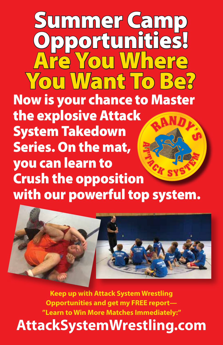**RANDY' S <sup>A</sup> <sup>T</sup> <sup>T</sup> <sup>A</sup> <sup>C</sup> <sup>K</sup> <sup>S</sup> <sup>Y</sup> <sup>S</sup> <sup>T</sup> <sup>E</sup> <sup>M</sup>** Summer Camp Opportunities! Are You Where You Want To Be? Now is your chance to Master the explosive Attack System Takedown Series. On the mat, you can learn to Crush the opposition with our powerful top system.



**Keep up with Attack System Wrestling Opportunities and get my FREE report— "Learn to Win More Matches Immediately:"**

**AttackSystemWrestling.com**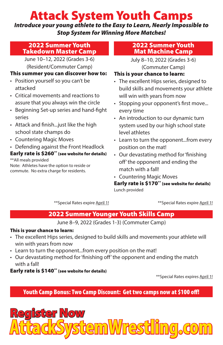# Attack System Youth Camps

*Introduce your young athlete to the Easy to Learn, Nearly Impossible to Stop System for Winning More Matches!*

#### 2022 Summer Youth Takedown Master Camp

June 10–12, 2022 (Grades 3-6) (Resident/Commuter Camp)

#### This summer you can discover how to:

- Position yourself so you can't be attacked
- Critical movements and reactions to assure that you always win the circle
- Beginning Set-up series and hand-fight series
- Attack and finish...just like the high school state champs do
- Countering Magic Moves
- Defending against the Front Headlock

#### Early rate is \$260\*\* (see website for details) \*\*All meals provided

Note: Athletes have the option to reside or commute. No extra charge for residents.

#### 2022 Summer Youth Mat Machine Camp

July 8–10, 2022 (Grades 3-6) (Commuter Camp)

#### This is your chance to learn:

- The excellent Hips series, designed to build skills and movements your athlete will win with years from now
- Stopping your opponent's first move... every time
- An introduction to our dynamic turn system used by our high school state level athletes
- Learn to turn the opponent...from every position on the mat!
- Our devastating method for 'finishing off' the opponent and ending the match with a fall!
- Countering Magic Moves

Early rate is \$170\*\* (see website for details) Lunch provided

\*\*Special Rates expire April 1! \*\*Special Rates expire April 1!

## 2022 Summer Younger Youth Skills Camp

June 8–9, 2022 (Grades 1-3) (Commuter Camp)

#### This is your chance to learn:

- The excellent Hips series, designed to build skills and movements your athlete will win with years from now
- Learn to turn the opponent...from every position on the mat!
- Our devastating method for 'finishing off' the opponent and ending the match with a fall!

#### Early rate is \$140\*\* (see website for details)

\*\*Special Rates expires April 1!

Youth Camp Bonus: Two Camp Discount: Get two camps now at \$100 off!

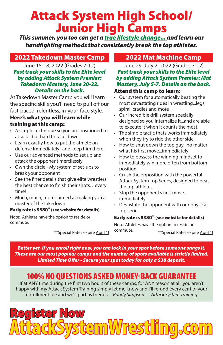# Attack System High School/ Junior High Camps

*This summer, you too can get a true lifestyle change... and learn our handfighting methods that consistently break the top athletes.*

## 2022 Takedown Master Camp

June 15-18, 2022 (Grades 7-12) *Fast track your skills to the Elite level by adding Attack System Premier: Takedown Mastery, June 20-22. Details on the back.*

At Takedown Master Camp you will learn the specific skills you'll need to pull off our fast-paced, relentless, in-your-face style. Here's what you will learn while training at this camp:

- A simple technique so you are positioned to attack - but hard to take down.
- Learn exactly how to put the athlete on defense Immediately...and keep him there.
- Use our advanced methods to set up and attack the opponent mercilessly
- Own the circle My system of set-ups to break your opponent
- See the finer details that give elite wrestlers the best chance to finish their shots…every time!
- Much, much, more, aimed at making you a master of the takedown.

#### Early rate is \$380\*\* (see website for details)

Note: Athletes have the option to reside or commute.

## 2022 Mat Machine Camp

June 29–July 2, 2022 (Grades 7-12) *Fast track your skills to the Elite level by adding Attack System Premier: Mat Mastery, July 5-7. Details on the back.* Attend this camp to learn:

#### • Our system for automatically beating the most devastating rides in wrestling...legs, spiral, cradles and more

- Our incredible drill system specially designed so you internalize it...and are able to execute it when it counts the most.
- The simple tactic thats works immediately when they try to ride the other side
- How to shut down the top guy...no matter what his first move...immediately
- How to possess the winning mindset to immediately win more often from bottom position.
- Crush the opposition with the powerful Attack System Top Series, designed to beat the top athletes
- Stop the opponent's first move... immediately
- Devastate the opponent with our physical top series

#### Early rate is \$380\*\* (see website for details)

Note: Athletes have the option to reside or commute. \*\*Special Rates expire April 1! Commute. \*\*\* \*\* Special Rates expire April 1!

*Better yet, if you enroll right now, you can lock in your spot before someone snags it. These are our most popular camps and the number of spots available is strictly limited. Limited Time Offer - Secure your spot today for only a \$38 deposit.*

# 100% NO QUESTIONS ASKED MONEY-BACK GUARANTEE

If at ANY time during the first two hours of these camps, for ANY reason at all, you aren't happy with my Attack System Training simply let me know and I'll refund every cent of your enrollment fee and we'll part as friends. *Randy Simpson — Attack System Training*